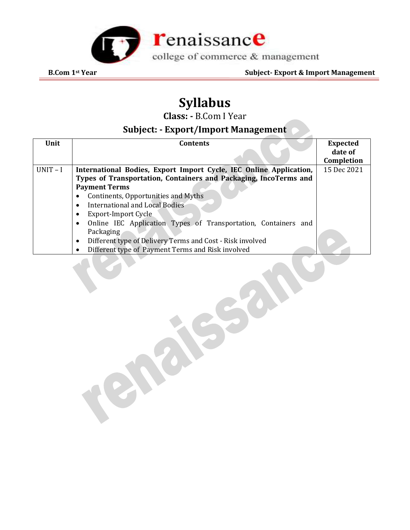

# **Syllabus**

**Class: -** B.Com I Year

## **Subject: - Export/Import Management**

| Unit       | <b>Contents</b>                                                             | <b>Expected</b> |
|------------|-----------------------------------------------------------------------------|-----------------|
|            |                                                                             | date of         |
|            |                                                                             | Completion      |
| $UNIT - I$ | International Bodies, Export Import Cycle, IEC Online Application,          | 15 Dec 2021     |
|            | Types of Transportation, Containers and Packaging, IncoTerms and            |                 |
|            | <b>Payment Terms</b>                                                        |                 |
|            | Continents, Opportunities and Myths<br>٠                                    |                 |
|            | International and Local Bodies<br>$\bullet$                                 |                 |
|            | Export-Import Cycle                                                         |                 |
|            | Online IEC Application Types of Transportation, Containers and<br>$\bullet$ |                 |
|            | Packaging                                                                   |                 |
|            | Different type of Delivery Terms and Cost - Risk involved<br>$\bullet$      |                 |
|            | Different type of Payment Terms and Risk involved                           |                 |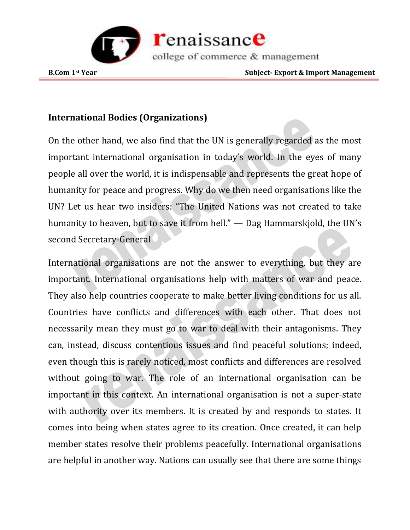

### **International Bodies (Organizations)**

On the other hand, we also find that the UN is generally regarded as the most important international organisation in today's world. In the eyes of many people all over the world, it is indispensable and represents the great hope of humanity for peace and progress. Why do we then need organisations like the UN? Let us hear two insiders: "The United Nations was not created to take humanity to heaven, but to save it from hell." — Dag Hammarskjold, the UN's second Secretary-General

International organisations are not the answer to everything, but they are important. International organisations help with matters of war and peace. They also help countries cooperate to make better living conditions for us all. Countries have conflicts and differences with each other. That does not necessarily mean they must go to war to deal with their antagonisms. They can, instead, discuss contentious issues and find peaceful solutions; indeed, even though this is rarely noticed, most conflicts and differences are resolved without going to war. The role of an international organisation can be important in this context. An international organisation is not a super-state with authority over its members. It is created by and responds to states. It comes into being when states agree to its creation. Once created, it can help member states resolve their problems peacefully. International organisations are helpful in another way. Nations can usually see that there are some things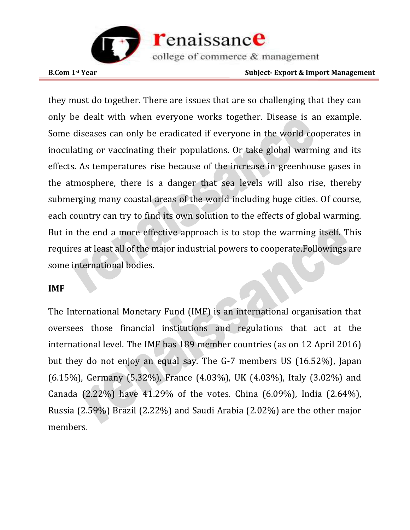

**B.Com 1st Year Subject- Export & Import Management** 

they must do together. There are issues that are so challenging that they can only be dealt with when everyone works together. Disease is an example. Some diseases can only be eradicated if everyone in the world cooperates in inoculating or vaccinating their populations. Or take global warming and its effects. As temperatures rise because of the increase in greenhouse gases in the atmosphere, there is a danger that sea levels will also rise, thereby submerging many coastal areas of the world including huge cities. Of course, each country can try to find its own solution to the effects of global warming. But in the end a more effective approach is to stop the warming itself. This requires at least all of the major industrial powers to cooperate.Followings are some international bodies.

#### **IMF**

The International Monetary Fund (IMF) is an international organisation that oversees those financial institutions and regulations that act at the international level. The IMF has 189 member countries (as on 12 April 2016) but they do not enjoy an equal say. The G-7 members US (16.52%), Japan (6.15%), Germany (5.32%), France (4.03%), UK (4.03%), Italy (3.02%) and Canada (2.22%) have 41.29% of the votes. China (6.09%), India (2.64%), Russia (2.59%) Brazil (2.22%) and Saudi Arabia (2.02%) are the other major members.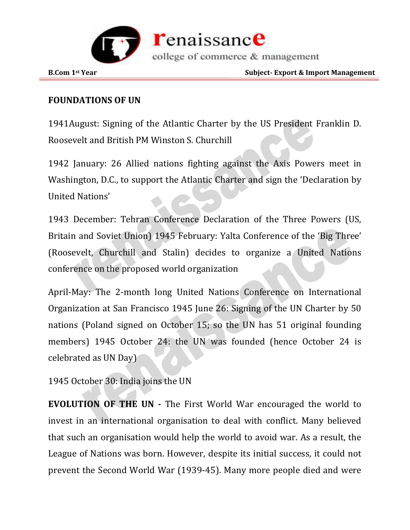

#### **FOUNDATIONS OF UN**

1941August: Signing of the Atlantic Charter by the US President Franklin D. Roosevelt and British PM Winston S. Churchill

1942 January: 26 Allied nations fighting against the Axis Powers meet in Washington, D.C., to support the Atlantic Charter and sign the 'Declaration by United Nations'

1943 December: Tehran Conference Declaration of the Three Powers (US, Britain and Soviet Union) 1945 February: Yalta Conference of the 'Big Three' (Roosevelt, Churchill and Stalin) decides to organize a United Nations conference on the proposed world organization

April-May: The 2-month long United Nations Conference on International Organization at San Francisco 1945 June 26: Signing of the UN Charter by 50 nations (Poland signed on October 15; so the UN has 51 original founding members) 1945 October 24: the UN was founded (hence October 24 is celebrated as UN Day)

1945 October 30: India joins the UN

**EVOLUTION OF THE UN -** The First World War encouraged the world to invest in an international organisation to deal with conflict. Many believed that such an organisation would help the world to avoid war. As a result, the League of Nations was born. However, despite its initial success, it could not prevent the Second World War (1939-45). Many more people died and were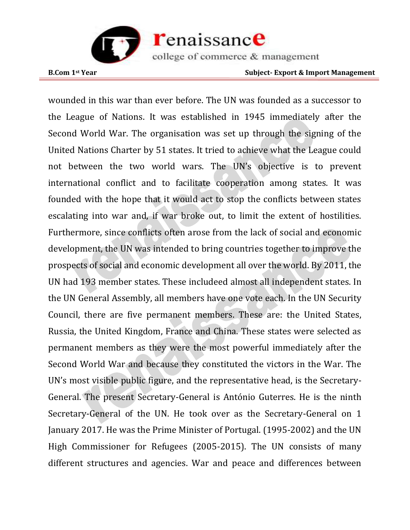

wounded in this war than ever before. The UN was founded as a successor to the League of Nations. It was established in 1945 immediately after the Second World War. The organisation was set up through the signing of the United Nations Charter by 51 states. It tried to achieve what the League could not between the two world wars. The UN's objective is to prevent international conflict and to facilitate cooperation among states. It was founded with the hope that it would act to stop the conflicts between states escalating into war and, if war broke out, to limit the extent of hostilities. Furthermore, since conflicts often arose from the lack of social and economic development, the UN was intended to bring countries together to improve the prospects of social and economic development all over the world. By 2011, the UN had 193 member states. These includeed almost all independent states. In the UN General Assembly, all members have one vote each. In the UN Security Council, there are five permanent members. These are: the United States, Russia, the United Kingdom, France and China. These states were selected as permanent members as they were the most powerful immediately after the Second World War and because they constituted the victors in the War. The UN's most visible public figure, and the representative head, is the Secretary-General. The present Secretary-General is António Guterres. He is the ninth Secretary-General of the UN. He took over as the Secretary-General on 1 January 2017. He was the Prime Minister of Portugal. (1995-2002) and the UN High Commissioner for Refugees (2005-2015). The UN consists of many different structures and agencies. War and peace and differences between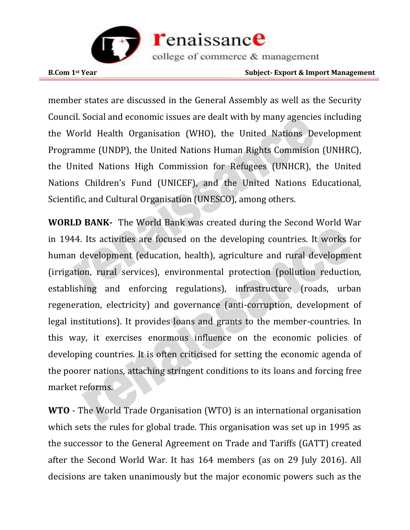

member states are discussed in the General Assembly as well as the Security Council. Social and economic issues are dealt with by many agencies including the World Health Organisation (WHO), the United Nations Development Programme (UNDP), the United Nations Human Rights Commision (UNHRC), the United Nations High Commission for Refugees (UNHCR), the United Nations Children's Fund (UNICEF), and the United Nations Educational, Scientific, and Cultural Organisation (UNESCO), among others.

**WORLD BANK-** The World Bank was created during the Second World War in 1944. Its activities are focused on the developing countries. It works for human development (education, health), agriculture and rural development (irrigation, rural services), environmental protection (pollution reduction, establishing and enforcing regulations), infrastructure (roads, urban regeneration, electricity) and governance (anti-corruption, development of legal institutions). It provides loans and grants to the member-countries. In this way, it exercises enormous influence on the economic policies of developing countries. It is often criticised for setting the economic agenda of the poorer nations, attaching stringent conditions to its loans and forcing free market reforms.

**WTO** - The World Trade Organisation (WTO) is an international organisation which sets the rules for global trade. This organisation was set up in 1995 as the successor to the General Agreement on Trade and Tariffs (GATT) created after the Second World War. It has 164 members (as on 29 July 2016). All decisions are taken unanimously but the major economic powers such as the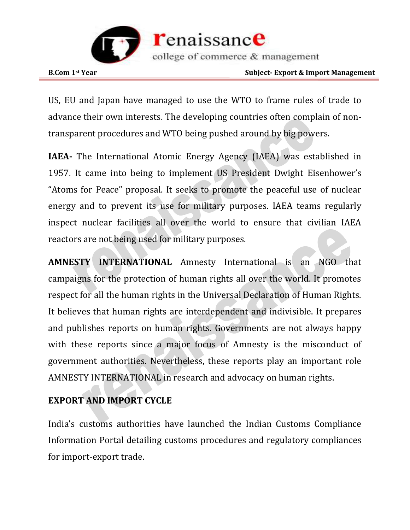

US, EU and Japan have managed to use the WTO to frame rules of trade to advance their own interests. The developing countries often complain of nontransparent procedures and WTO being pushed around by big powers.

**IAEA-** The International Atomic Energy Agency (IAEA) was established in 1957. It came into being to implement US President Dwight Eisenhower's "Atoms for Peace" proposal. It seeks to promote the peaceful use of nuclear energy and to prevent its use for military purposes. IAEA teams regularly inspect nuclear facilities all over the world to ensure that civilian IAEA reactors are not being used for military purposes.

**AMNESTY INTERNATIONAL** Amnesty International is an NGO that campaigns for the protection of human rights all over the world. It promotes respect for all the human rights in the Universal Declaration of Human Rights. It believes that human rights are interdependent and indivisible. It prepares and publishes reports on human rights. Governments are not always happy with these reports since a major focus of Amnesty is the misconduct of government authorities. Nevertheless, these reports play an important role AMNESTY INTERNATIONAL in research and advocacy on human rights.

#### **EXPORT AND IMPORT CYCLE**

India's customs authorities have launched the Indian Customs Compliance Information Portal detailing customs procedures and regulatory compliances for import-export trade.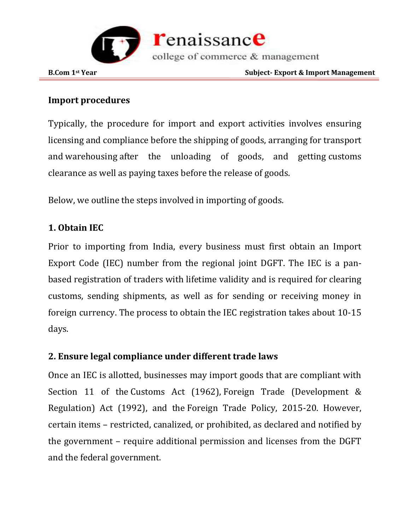

#### **Import procedures**

Typically, the procedure for import and export activities involves ensuring licensing and compliance before the shipping of goods, arranging for transport and [warehousing](https://www.india-briefing.com/news/special-economic-zones-warehousing-clusters-mumbai-18905.html/?hilite=%27warehous%27) after the unloading of goods, and getting [customs](https://www.india-briefing.com/news/india-consumer-products-labelling-customs-regulations-13878.html/?hilite=%27custom%27)  [clearance](https://www.india-briefing.com/news/india-consumer-products-labelling-customs-regulations-13878.html/?hilite=%27custom%27) as well as paying taxes before the release of goods.

Below, we outline the steps involved in importing of goods.

#### **1. Obtain IEC**

Prior to importing from India, every business must first obtain an Import Export Code (IEC) number from the regional joint DGFT. The IEC is a panbased registration of traders with lifetime validity and is required for clearing customs, sending shipments, as well as for sending or receiving money in foreign currency. The process to obtain the IEC registration takes about 10-15 days.

#### **2. Ensure legal compliance under different trade laws**

Once an IEC is allotted, businesses may import goods that are compliant with Section 11 of the [Customs Act \(1962\),](http://www.cbic.gov.in/htdocs-cbec/customs/cs-act/cs-act-ch1-revised3) Foreign Trade (Development & Regulation) Act (1992), and the Foreign Trade Policy, 2015-20. However, certain items – restricted, canalized, or prohibited, as declared and notified by the government – require additional permission and licenses from the DGFT and the federal government.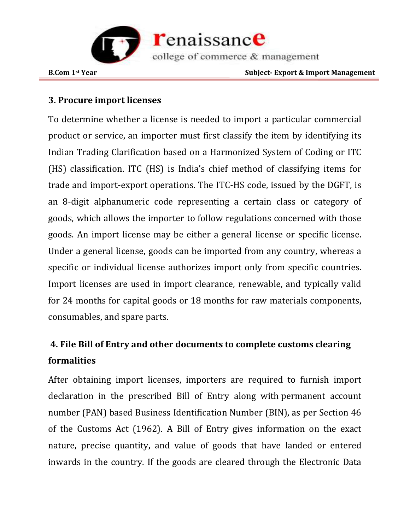

#### **3. Procure import licenses**

To determine whether a license is needed to import a particular commercial product or service, an importer must first classify the item by identifying its Indian Trading Clarification based on a Harmonized System of Coding or ITC (HS) classification. ITC (HS) is India's chief method of classifying items for trade and import-export operations. The ITC-HS code, issued by the DGFT, is an 8-digit alphanumeric code representing a certain class or category of goods, which allows the importer to follow regulations concerned with those goods. An import license may be either a general license or specific license. Under a general license, goods can be imported from any country, whereas a specific or individual license authorizes import only from specific countries. Import licenses are used in import clearance, renewable, and typically valid for 24 months for capital goods or 18 months for raw materials components, consumables, and spare parts.

## **4. File Bill of Entry and other documents to complete customs clearing formalities**

After obtaining import licenses, importers are required to furnish import declaration in the prescribed Bill of Entry along with [permanent account](https://www.india-briefing.com/news/pan-card-application-procedure-foreign-investors-businesses-india-6789.html/?hilite=%27hs%27%2C%27code%27)  [number](https://www.india-briefing.com/news/pan-card-application-procedure-foreign-investors-businesses-india-6789.html/?hilite=%27hs%27%2C%27code%27) (PAN) based Business Identification Number (BIN), as per Section 46 of the Customs Act (1962). A Bill of Entry gives information on the exact nature, precise quantity, and value of goods that have landed or entered inwards in the country. If the goods are cleared through the Electronic Data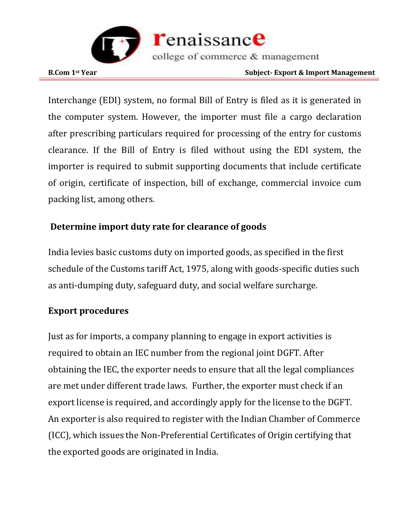

Interchange (EDI) system, no formal Bill of Entry is filed as it is generated in the computer system. However, the importer must file a cargo declaration after prescribing particulars required for processing of the entry for customs clearance. If the Bill of Entry is filed without using the EDI system, the importer is required to submit supporting documents that include certificate of origin, certificate of inspection, bill of exchange, commercial invoice cum packing list, among others.

#### **Determine import duty rate for clearance of goods**

India levies basic customs duty on imported goods, as specified in the first schedule of the Customs tariff Act, 1975, along with goods-specific duties such as anti-dumping duty, safeguard duty, and social welfare surcharge.

#### **Export procedures**

Just as for imports, a company planning to engage in export activities is required to obtain an IEC number from the regional joint DGFT. After obtaining the IEC, the exporter needs to ensure that all the legal compliances are met under different trade laws. Further, the exporter must check if an export license is required, and accordingly apply for the license to the DGFT. An exporter is also required to register with the Indian Chamber of Commerce (ICC), which issues the Non-Preferential Certificates of Origin certifying that the exported goods are originated in India.